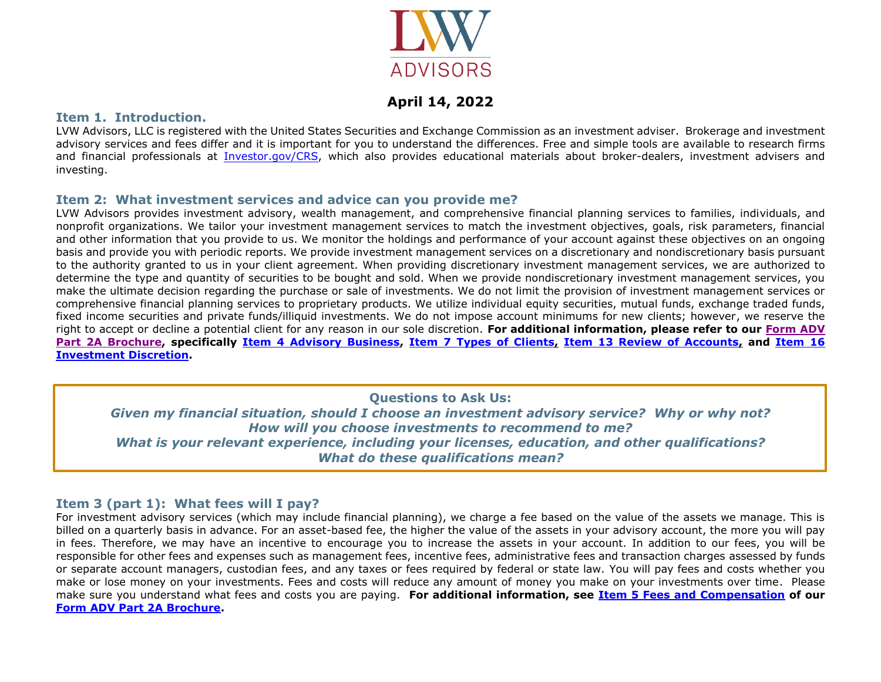

# **April 14, 2022**

### **Item 1. Introduction.**

LVW Advisors, LLC is registered with the United States Securities and Exchange Commission as an investment adviser. Brokerage and investment advisory services and fees differ and it is important for you to understand the differences. Free and simple tools are available to research firms and financial professionals at [Investor.gov/CRS,](https://www.investor.gov/CRS) which also provides educational materials about broker-dealers, investment advisers and investing.

### **Item 2: What investment services and advice can you provide me?**

LVW Advisors provides investment advisory, wealth management, and comprehensive financial planning services to families, individuals, and nonprofit organizations. We tailor your investment management services to match the investment objectives, goals, risk parameters, financial and other information that you provide to us. We monitor the holdings and performance of your account against these objectives on an ongoing basis and provide you with periodic reports. We provide investment management services on a discretionary and nondiscretionary basis pursuant to the authority granted to us in your client agreement. When providing discretionary investment management services, we are authorized to determine the type and quantity of securities to be bought and sold. When we provide nondiscretionary investment management services, you make the ultimate decision regarding the purchase or sale of investments. We do not limit the provision of investment management services or comprehensive financial planning services to proprietary products. We utilize individual equity securities, mutual funds, exchange traded funds, fixed income securities and private funds/illiquid investments. We do not impose account minimums for new clients; however, we reserve the right to accept or decline a potential client for any reason in our sole discretion. **For additional information, please refer to our [Form ADV](https://files.adviserinfo.sec.gov/IAPD/Content/Common/crd_iapd_Brochure.aspx?BRCHR_VRSN_ID=778496)  [Part 2A Brochure,](https://files.adviserinfo.sec.gov/IAPD/Content/Common/crd_iapd_Brochure.aspx?BRCHR_VRSN_ID=778496) specifically [Item 4 Advisory Business,](https://files.adviserinfo.sec.gov/IAPD/Content/Common/crd_iapd_Brochure.aspx?BRCHR_VRSN_ID=778496#page=4) [Item 7 Types of Clients,](https://files.adviserinfo.sec.gov/IAPD/Content/Common/crd_iapd_Brochure.aspx?BRCHR_VRSN_ID=778496#page=9) [Item 13 Review of Accounts,](https://files.adviserinfo.sec.gov/IAPD/Content/Common/crd_iapd_Brochure.aspx?BRCHR_VRSN_ID=778496#page=18) and [Item 16](https://files.adviserinfo.sec.gov/IAPD/Content/Common/crd_iapd_Brochure.aspx?BRCHR_VRSN_ID=778496#page=20)  [Investment Discretion.](https://files.adviserinfo.sec.gov/IAPD/Content/Common/crd_iapd_Brochure.aspx?BRCHR_VRSN_ID=778496#page=20)**

**Questions to Ask Us:**

*Given my financial situation, should I choose an investment advisory service? Why or why not? How will you choose investments to recommend to me? What is your relevant experience, including your licenses, education, and other qualifications? What do these qualifications mean?*

## **Item 3 (part 1): What fees will I pay?**

For investment advisory services (which may include financial planning), we charge a fee based on the value of the assets we manage. This is billed on a quarterly basis in advance. For an asset-based fee, the higher the value of the assets in your advisory account, the more you will pay in fees. Therefore, we may have an incentive to encourage you to increase the assets in your account. In addition to our fees, you will be responsible for other fees and expenses such as management fees, incentive fees, administrative fees and transaction charges assessed by funds or separate account managers, custodian fees, and any taxes or fees required by federal or state law. You will pay fees and costs whether you make or lose money on your investments. Fees and costs will reduce any amount of money you make on your investments over time. Please make sure you understand what fees and costs you are paying. **For additional information, see [Item 5 Fees and Compensation](https://files.adviserinfo.sec.gov/IAPD/Content/Common/crd_iapd_Brochure.aspx?BRCHR_VRSN_ID=778496#page=7) of our [Form ADV Part 2A Brochure.](https://files.adviserinfo.sec.gov/IAPD/Content/Common/crd_iapd_Brochure.aspx?BRCHR_VRSN_ID=778496)**